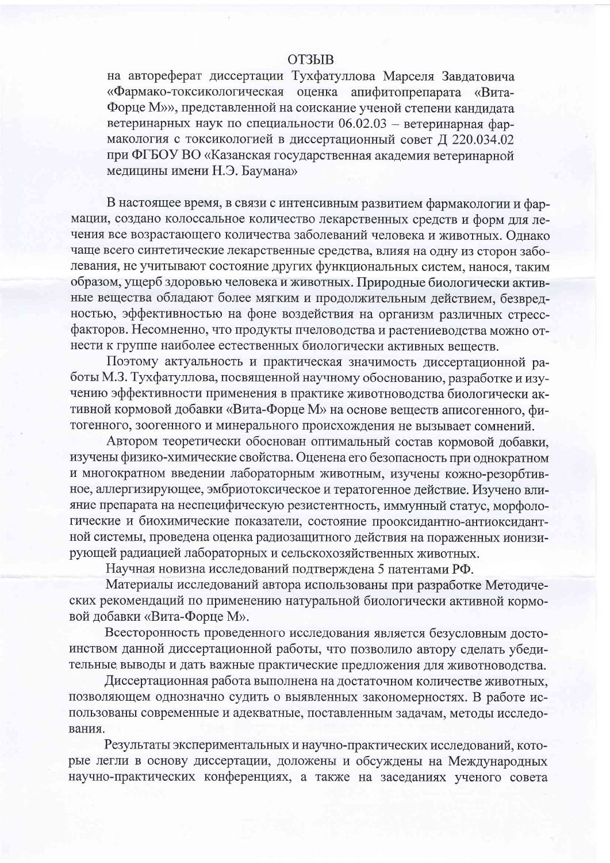## **ОТЗЫВ**

на автореферат диссертации Тухфатуллова Марселя Завдатовича «Фармако-токсикологическая оценка апифитопрепарата «Вита-Форце М»», представленной на соискание ученой степени кандидата ветеринарных наук по специальности 06.02.03 - ветеринарная фармакология с токсикологией в диссертационный совет Д 220.034.02 при ФГБОУ ВО «Казанская государственная академия ветеринарной медицины имени Н.Э. Баумана»

В настоящее время, в связи с интенсивным развитием фармакологии и фармации, создано колоссальное количество лекарственных средств и форм для лечения все возрастающего количества заболеваний человека и животных. Однако чаще всего синтетические лекарственные средства, влияя на одну из сторон заболевания, не учитывают состояние других функциональных систем, нанося, таким образом, ущерб здоровью человека и животных. Природные биологически активные вещества обладают более мягким и продолжительным действием, безвредностью, эффективностью на фоне воздействия на организм различных стрессфакторов. Несомненно, что продукты пчеловодства и растениеводства можно отнести к группе наиболее естественных биологически активных веществ.

Поэтому актуальность и практическая значимость диссертационной работы М.З. Тухфатуллова, посвященной научному обоснованию, разработке и изучению эффективности применения в практике животноводства биологически активной кормовой добавки «Вита-Форце М» на основе веществ аписогенного, фитогенного, зоогенного и минерального происхождения не вызывает сомнений.

Автором теоретически обоснован оптимальный состав кормовой добавки, изучены физико-химические свойства. Оценена его безопасность при однократном и многократном введении лабораторным животным, изучены кожно-резорбтивное, аллергизирующее, эмбриотоксическое и тератогенное действие. Изучено влияние препарата на неспецифическую резистентность, иммунный статус, морфологические и биохимические показатели, состояние прооксидантно-антиоксидантной системы, проведена оценка радиозащитного действия на пораженных ионизирующей радиацией лабораторных и сельскохозяйственных животных.

Научная новизна исследований подтверждена 5 патентами РФ.

Материалы исследований автора использованы при разработке Методических рекомендаций по применению натуральной биологически активной кормовой добавки «Вита-Форце М».

Всесторонность проведенного исследования является безусловным достоинством данной диссертационной работы, что позволило автору сделать убедительные выводы и дать важные практические предложения для животноводства.

Диссертационная работа выполнена на достаточном количестве животных, позволяющем однозначно судить о выявленных закономерностях. В работе использованы современные и адекватные, поставленным задачам, методы исследования.

Результаты экспериментальных и научно-практических исследований, которые легли в основу диссертации, доложены и обсуждены на Международных научно-практических конференциях, а также на заседаниях ученого совета